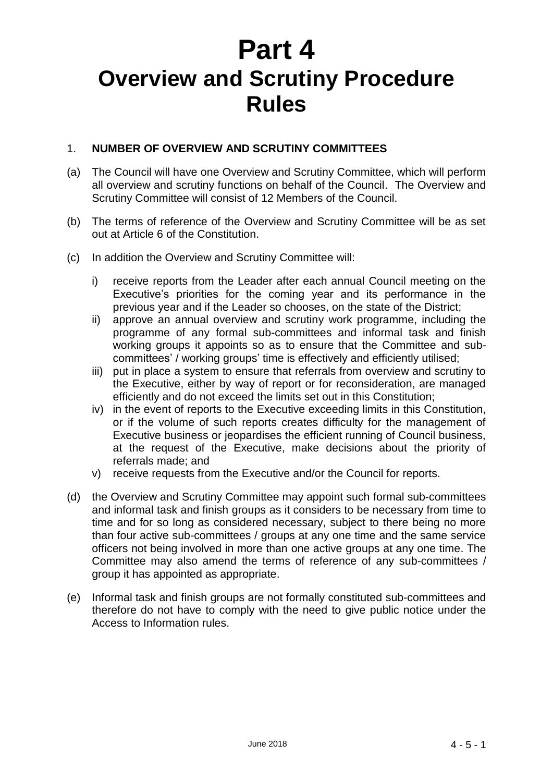# **Part 4 Overview and Scrutiny Procedure Rules**

## 1. **NUMBER OF OVERVIEW AND SCRUTINY COMMITTEES**

- (a) The Council will have one Overview and Scrutiny Committee, which will perform all overview and scrutiny functions on behalf of the Council. The Overview and Scrutiny Committee will consist of 12 Members of the Council.
- (b) The terms of reference of the Overview and Scrutiny Committee will be as set out at Article 6 of the Constitution.
- (c) In addition the Overview and Scrutiny Committee will:
	- i) receive reports from the Leader after each annual Council meeting on the Executive's priorities for the coming year and its performance in the previous year and if the Leader so chooses, on the state of the District;
	- ii) approve an annual overview and scrutiny work programme, including the programme of any formal sub-committees and informal task and finish working groups it appoints so as to ensure that the Committee and subcommittees' / working groups' time is effectively and efficiently utilised;
	- iii) put in place a system to ensure that referrals from overview and scrutiny to the Executive, either by way of report or for reconsideration, are managed efficiently and do not exceed the limits set out in this Constitution;
	- iv) in the event of reports to the Executive exceeding limits in this Constitution, or if the volume of such reports creates difficulty for the management of Executive business or jeopardises the efficient running of Council business, at the request of the Executive, make decisions about the priority of referrals made; and
	- v) receive requests from the Executive and/or the Council for reports.
- (d) the Overview and Scrutiny Committee may appoint such formal sub-committees and informal task and finish groups as it considers to be necessary from time to time and for so long as considered necessary, subject to there being no more than four active sub-committees / groups at any one time and the same service officers not being involved in more than one active groups at any one time. The Committee may also amend the terms of reference of any sub-committees / group it has appointed as appropriate.
- (e) Informal task and finish groups are not formally constituted sub-committees and therefore do not have to comply with the need to give public notice under the Access to Information rules.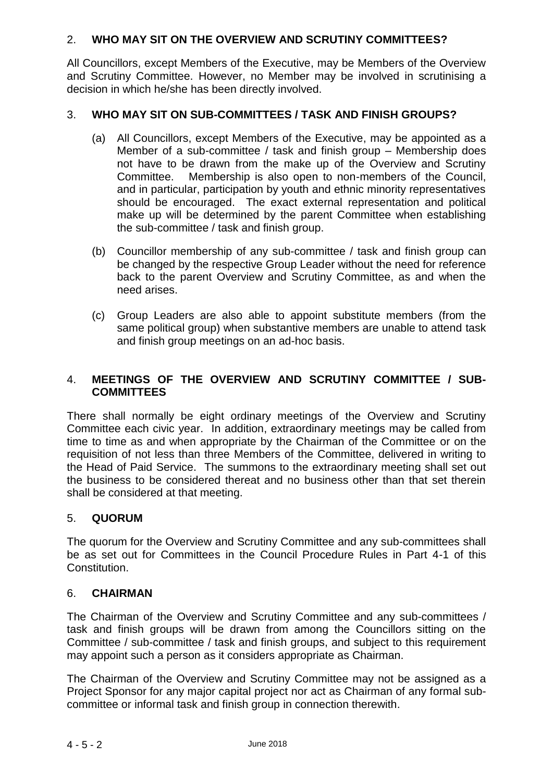## 2. **WHO MAY SIT ON THE OVERVIEW AND SCRUTINY COMMITTEES?**

All Councillors, except Members of the Executive, may be Members of the Overview and Scrutiny Committee. However, no Member may be involved in scrutinising a decision in which he/she has been directly involved.

## 3. **WHO MAY SIT ON SUB-COMMITTEES / TASK AND FINISH GROUPS?**

- (a) All Councillors, except Members of the Executive, may be appointed as a Member of a sub-committee / task and finish group – Membership does not have to be drawn from the make up of the Overview and Scrutiny Committee. Membership is also open to non-members of the Council, and in particular, participation by youth and ethnic minority representatives should be encouraged. The exact external representation and political make up will be determined by the parent Committee when establishing the sub-committee / task and finish group.
- (b) Councillor membership of any sub-committee / task and finish group can be changed by the respective Group Leader without the need for reference back to the parent Overview and Scrutiny Committee, as and when the need arises.
- (c) Group Leaders are also able to appoint substitute members (from the same political group) when substantive members are unable to attend task and finish group meetings on an ad-hoc basis.

## 4. **MEETINGS OF THE OVERVIEW AND SCRUTINY COMMITTEE / SUB-COMMITTEES**

There shall normally be eight ordinary meetings of the Overview and Scrutiny Committee each civic year. In addition, extraordinary meetings may be called from time to time as and when appropriate by the Chairman of the Committee or on the requisition of not less than three Members of the Committee, delivered in writing to the Head of Paid Service. The summons to the extraordinary meeting shall set out the business to be considered thereat and no business other than that set therein shall be considered at that meeting.

#### 5. **QUORUM**

The quorum for the Overview and Scrutiny Committee and any sub-committees shall be as set out for Committees in the Council Procedure Rules in Part 4-1 of this Constitution.

#### 6. **CHAIRMAN**

The Chairman of the Overview and Scrutiny Committee and any sub-committees / task and finish groups will be drawn from among the Councillors sitting on the Committee / sub-committee / task and finish groups, and subject to this requirement may appoint such a person as it considers appropriate as Chairman.

The Chairman of the Overview and Scrutiny Committee may not be assigned as a Project Sponsor for any major capital project nor act as Chairman of any formal subcommittee or informal task and finish group in connection therewith.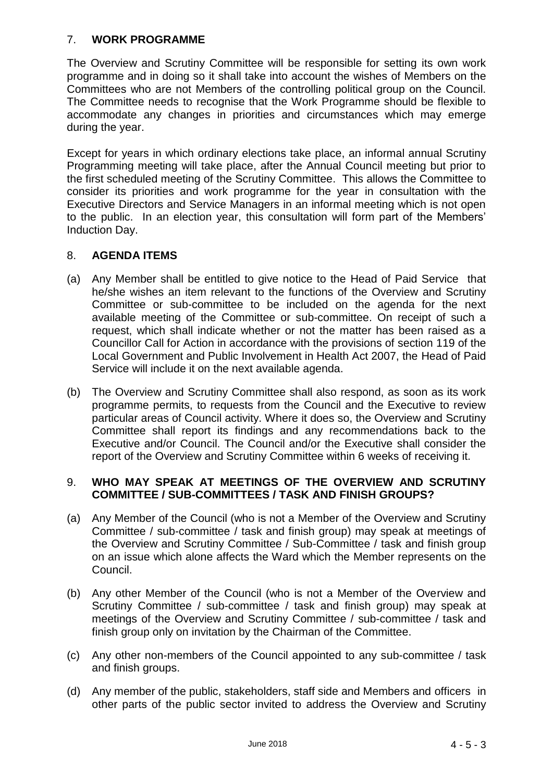## 7. **WORK PROGRAMME**

The Overview and Scrutiny Committee will be responsible for setting its own work programme and in doing so it shall take into account the wishes of Members on the Committees who are not Members of the controlling political group on the Council. The Committee needs to recognise that the Work Programme should be flexible to accommodate any changes in priorities and circumstances which may emerge during the year.

Except for years in which ordinary elections take place, an informal annual Scrutiny Programming meeting will take place, after the Annual Council meeting but prior to the first scheduled meeting of the Scrutiny Committee. This allows the Committee to consider its priorities and work programme for the year in consultation with the Executive Directors and Service Managers in an informal meeting which is not open to the public. In an election year, this consultation will form part of the Members' Induction Day.

#### 8. **AGENDA ITEMS**

- (a) Any Member shall be entitled to give notice to the Head of Paid Service that he/she wishes an item relevant to the functions of the Overview and Scrutiny Committee or sub-committee to be included on the agenda for the next available meeting of the Committee or sub-committee. On receipt of such a request, which shall indicate whether or not the matter has been raised as a Councillor Call for Action in accordance with the provisions of section 119 of the Local Government and Public Involvement in Health Act 2007, the Head of Paid Service will include it on the next available agenda.
- (b) The Overview and Scrutiny Committee shall also respond, as soon as its work programme permits, to requests from the Council and the Executive to review particular areas of Council activity. Where it does so, the Overview and Scrutiny Committee shall report its findings and any recommendations back to the Executive and/or Council. The Council and/or the Executive shall consider the report of the Overview and Scrutiny Committee within 6 weeks of receiving it.

#### 9. **WHO MAY SPEAK AT MEETINGS OF THE OVERVIEW AND SCRUTINY COMMITTEE / SUB-COMMITTEES / TASK AND FINISH GROUPS?**

- (a) Any Member of the Council (who is not a Member of the Overview and Scrutiny Committee / sub-committee / task and finish group) may speak at meetings of the Overview and Scrutiny Committee / Sub-Committee / task and finish group on an issue which alone affects the Ward which the Member represents on the Council.
- (b) Any other Member of the Council (who is not a Member of the Overview and Scrutiny Committee / sub-committee / task and finish group) may speak at meetings of the Overview and Scrutiny Committee / sub-committee / task and finish group only on invitation by the Chairman of the Committee.
- (c) Any other non-members of the Council appointed to any sub-committee / task and finish groups.
- (d) Any member of the public, stakeholders, staff side and Members and officers in other parts of the public sector invited to address the Overview and Scrutiny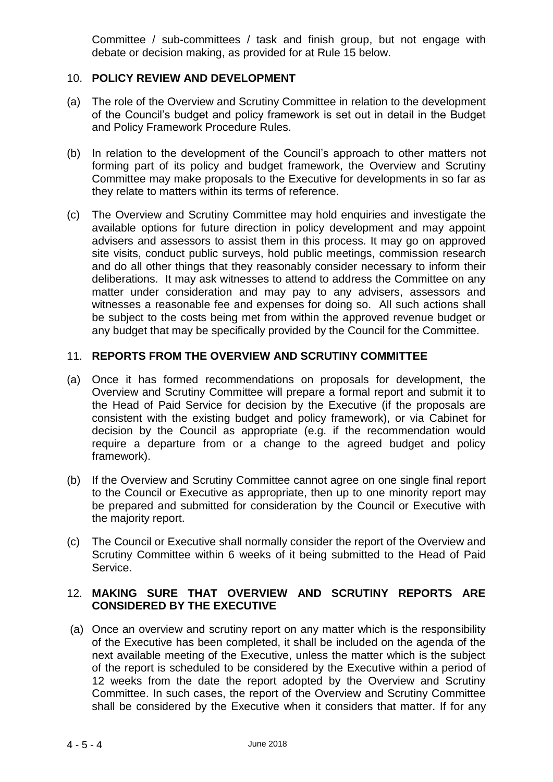Committee / sub-committees / task and finish group, but not engage with debate or decision making, as provided for at Rule 15 below.

### 10. **POLICY REVIEW AND DEVELOPMENT**

- (a) The role of the Overview and Scrutiny Committee in relation to the development of the Council's budget and policy framework is set out in detail in the Budget and Policy Framework Procedure Rules.
- (b) In relation to the development of the Council's approach to other matters not forming part of its policy and budget framework, the Overview and Scrutiny Committee may make proposals to the Executive for developments in so far as they relate to matters within its terms of reference.
- (c) The Overview and Scrutiny Committee may hold enquiries and investigate the available options for future direction in policy development and may appoint advisers and assessors to assist them in this process. It may go on approved site visits, conduct public surveys, hold public meetings, commission research and do all other things that they reasonably consider necessary to inform their deliberations. It may ask witnesses to attend to address the Committee on any matter under consideration and may pay to any advisers, assessors and witnesses a reasonable fee and expenses for doing so. All such actions shall be subject to the costs being met from within the approved revenue budget or any budget that may be specifically provided by the Council for the Committee.

#### 11. **REPORTS FROM THE OVERVIEW AND SCRUTINY COMMITTEE**

- (a) Once it has formed recommendations on proposals for development, the Overview and Scrutiny Committee will prepare a formal report and submit it to the Head of Paid Service for decision by the Executive (if the proposals are consistent with the existing budget and policy framework), or via Cabinet for decision by the Council as appropriate (e.g. if the recommendation would require a departure from or a change to the agreed budget and policy framework).
- (b) If the Overview and Scrutiny Committee cannot agree on one single final report to the Council or Executive as appropriate, then up to one minority report may be prepared and submitted for consideration by the Council or Executive with the majority report.
- (c) The Council or Executive shall normally consider the report of the Overview and Scrutiny Committee within 6 weeks of it being submitted to the Head of Paid Service.

## 12. **MAKING SURE THAT OVERVIEW AND SCRUTINY REPORTS ARE CONSIDERED BY THE EXECUTIVE**

(a) Once an overview and scrutiny report on any matter which is the responsibility of the Executive has been completed, it shall be included on the agenda of the next available meeting of the Executive, unless the matter which is the subject of the report is scheduled to be considered by the Executive within a period of 12 weeks from the date the report adopted by the Overview and Scrutiny Committee. In such cases, the report of the Overview and Scrutiny Committee shall be considered by the Executive when it considers that matter. If for any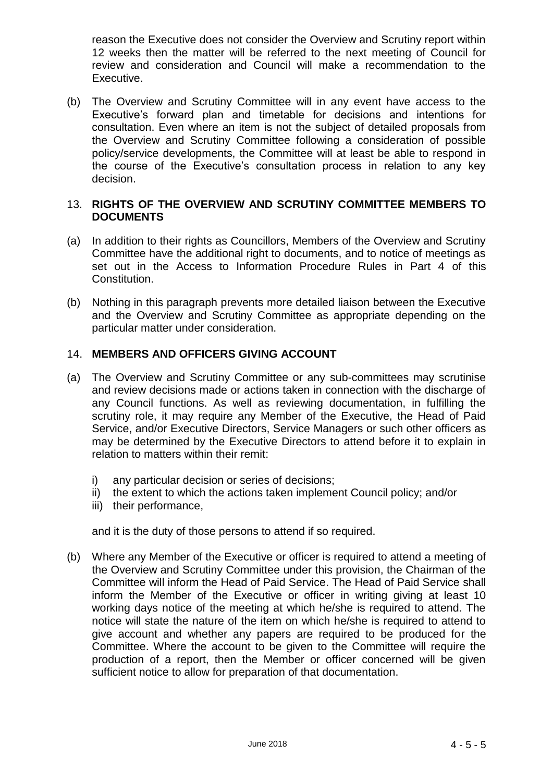reason the Executive does not consider the Overview and Scrutiny report within 12 weeks then the matter will be referred to the next meeting of Council for review and consideration and Council will make a recommendation to the Executive.

(b) The Overview and Scrutiny Committee will in any event have access to the Executive's forward plan and timetable for decisions and intentions for consultation. Even where an item is not the subject of detailed proposals from the Overview and Scrutiny Committee following a consideration of possible policy/service developments, the Committee will at least be able to respond in the course of the Executive's consultation process in relation to any key decision.

#### 13. **RIGHTS OF THE OVERVIEW AND SCRUTINY COMMITTEE MEMBERS TO DOCUMENTS**

- (a) In addition to their rights as Councillors, Members of the Overview and Scrutiny Committee have the additional right to documents, and to notice of meetings as set out in the Access to Information Procedure Rules in Part 4 of this Constitution.
- (b) Nothing in this paragraph prevents more detailed liaison between the Executive and the Overview and Scrutiny Committee as appropriate depending on the particular matter under consideration.

## 14. **MEMBERS AND OFFICERS GIVING ACCOUNT**

- (a) The Overview and Scrutiny Committee or any sub-committees may scrutinise and review decisions made or actions taken in connection with the discharge of any Council functions. As well as reviewing documentation, in fulfilling the scrutiny role, it may require any Member of the Executive, the Head of Paid Service, and/or Executive Directors, Service Managers or such other officers as may be determined by the Executive Directors to attend before it to explain in relation to matters within their remit:
	- i) any particular decision or series of decisions;
	- ii) the extent to which the actions taken implement Council policy; and/or
	- iii) their performance,

and it is the duty of those persons to attend if so required.

(b) Where any Member of the Executive or officer is required to attend a meeting of the Overview and Scrutiny Committee under this provision, the Chairman of the Committee will inform the Head of Paid Service. The Head of Paid Service shall inform the Member of the Executive or officer in writing giving at least 10 working days notice of the meeting at which he/she is required to attend. The notice will state the nature of the item on which he/she is required to attend to give account and whether any papers are required to be produced for the Committee. Where the account to be given to the Committee will require the production of a report, then the Member or officer concerned will be given sufficient notice to allow for preparation of that documentation.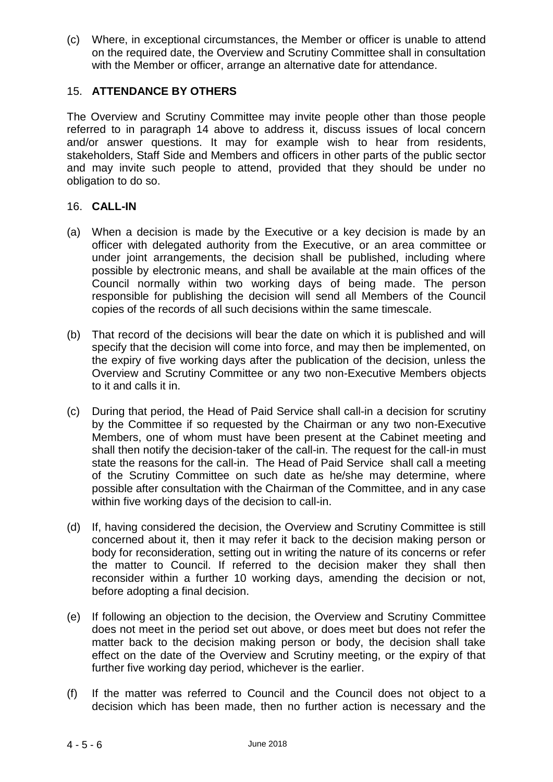(c) Where, in exceptional circumstances, the Member or officer is unable to attend on the required date, the Overview and Scrutiny Committee shall in consultation with the Member or officer, arrange an alternative date for attendance.

## 15. **ATTENDANCE BY OTHERS**

The Overview and Scrutiny Committee may invite people other than those people referred to in paragraph 14 above to address it, discuss issues of local concern and/or answer questions. It may for example wish to hear from residents, stakeholders, Staff Side and Members and officers in other parts of the public sector and may invite such people to attend, provided that they should be under no obligation to do so.

#### 16. **CALL-IN**

- (a) When a decision is made by the Executive or a key decision is made by an officer with delegated authority from the Executive, or an area committee or under joint arrangements, the decision shall be published, including where possible by electronic means, and shall be available at the main offices of the Council normally within two working days of being made. The person responsible for publishing the decision will send all Members of the Council copies of the records of all such decisions within the same timescale.
- (b) That record of the decisions will bear the date on which it is published and will specify that the decision will come into force, and may then be implemented, on the expiry of five working days after the publication of the decision, unless the Overview and Scrutiny Committee or any two non-Executive Members objects to it and calls it in.
- (c) During that period, the Head of Paid Service shall call-in a decision for scrutiny by the Committee if so requested by the Chairman or any two non-Executive Members, one of whom must have been present at the Cabinet meeting and shall then notify the decision-taker of the call-in. The request for the call-in must state the reasons for the call-in. The Head of Paid Service shall call a meeting of the Scrutiny Committee on such date as he/she may determine, where possible after consultation with the Chairman of the Committee, and in any case within five working days of the decision to call-in.
- (d) If, having considered the decision, the Overview and Scrutiny Committee is still concerned about it, then it may refer it back to the decision making person or body for reconsideration, setting out in writing the nature of its concerns or refer the matter to Council. If referred to the decision maker they shall then reconsider within a further 10 working days, amending the decision or not, before adopting a final decision.
- (e) If following an objection to the decision, the Overview and Scrutiny Committee does not meet in the period set out above, or does meet but does not refer the matter back to the decision making person or body, the decision shall take effect on the date of the Overview and Scrutiny meeting, or the expiry of that further five working day period, whichever is the earlier.
- (f) If the matter was referred to Council and the Council does not object to a decision which has been made, then no further action is necessary and the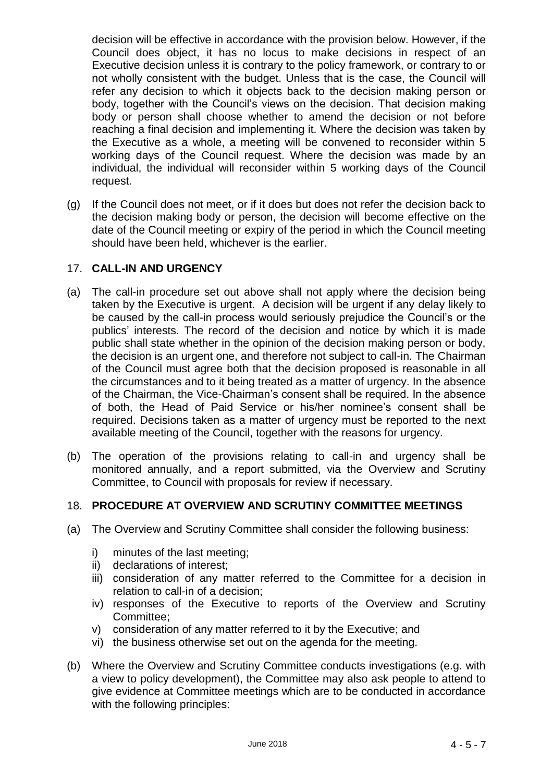decision will be effective in accordance with the provision below. However, if the Council does object, it has no locus to make decisions in respect of an Executive decision unless it is contrary to the policy framework, or contrary to or not wholly consistent with the budget. Unless that is the case, the Council will refer any decision to which it objects back to the decision making person or body, together with the Council's views on the decision. That decision making body or person shall choose whether to amend the decision or not before reaching a final decision and implementing it. Where the decision was taken by the Executive as a whole, a meeting will be convened to reconsider within 5 working days of the Council request. Where the decision was made by an individual, the individual will reconsider within 5 working days of the Council request.

(g) If the Council does not meet, or if it does but does not refer the decision back to the decision making body or person, the decision will become effective on the date of the Council meeting or expiry of the period in which the Council meeting should have been held, whichever is the earlier.

#### 17. **CALL-IN AND URGENCY**

- (a) The call-in procedure set out above shall not apply where the decision being taken by the Executive is urgent. A decision will be urgent if any delay likely to be caused by the call-in process would seriously prejudice the Council's or the publics' interests. The record of the decision and notice by which it is made public shall state whether in the opinion of the decision making person or body, the decision is an urgent one, and therefore not subject to call-in. The Chairman of the Council must agree both that the decision proposed is reasonable in all the circumstances and to it being treated as a matter of urgency. In the absence of the Chairman, the Vice-Chairman's consent shall be required. In the absence of both, the Head of Paid Service or his/her nominee's consent shall be required. Decisions taken as a matter of urgency must be reported to the next available meeting of the Council, together with the reasons for urgency.
- (b) The operation of the provisions relating to call-in and urgency shall be monitored annually, and a report submitted, via the Overview and Scrutiny Committee, to Council with proposals for review if necessary.

## 18. **PROCEDURE AT OVERVIEW AND SCRUTINY COMMITTEE MEETINGS**

- (a) The Overview and Scrutiny Committee shall consider the following business:
	- i) minutes of the last meeting;
	- ii) declarations of interest;
	- iii) consideration of any matter referred to the Committee for a decision in relation to call-in of a decision;
	- iv) responses of the Executive to reports of the Overview and Scrutiny Committee;
	- v) consideration of any matter referred to it by the Executive; and
	- vi) the business otherwise set out on the agenda for the meeting.
- (b) Where the Overview and Scrutiny Committee conducts investigations (e.g. with a view to policy development), the Committee may also ask people to attend to give evidence at Committee meetings which are to be conducted in accordance with the following principles: